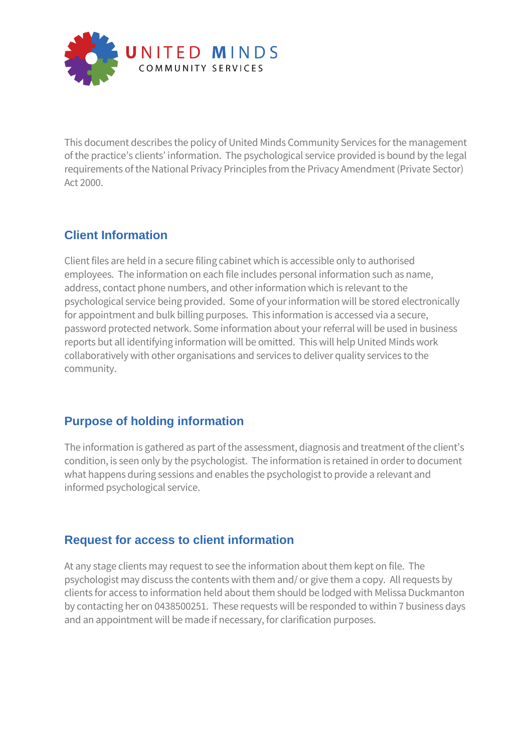

This document describes the policy of United Minds Community Services for the management of the practice's clients' information. The psychological service provided is bound by the legal requirements of the National Privacy Principles from the Privacy Amendment (Private Sector) Act 2000.

## **Client Information**

Client files are held in a secure filing cabinet which is accessible only to authorised employees. The information on each file includes personal information such as name, address, contact phone numbers, and other information which is relevant to the psychological service being provided. Some of your information will be stored electronically for appointment and bulk billing purposes. This information is accessed via a secure, password protected network. Some information about your referral will be used in business reports but all identifying information will be omitted. This will help United Minds work collaboratively with other organisations and services to deliver quality services to the community.

## **Purpose of holding information**

The information is gathered as part of the assessment, diagnosis and treatment of the client's condition, is seen only by the psychologist. The information is retained in order to document what happens during sessions and enables the psychologist to provide a relevant and informed psychological service.

## **Request for access to client information**

At any stage clients may request to see the information about them kept on file. The psychologist may discuss the contents with them and/ or give them a copy. All requests by clients for access to information held about them should be lodged with Melissa Duckmanton by contacting her on 0438500251. These requests will be responded to within 7 business days and an appointment will be made if necessary, for clarification purposes.